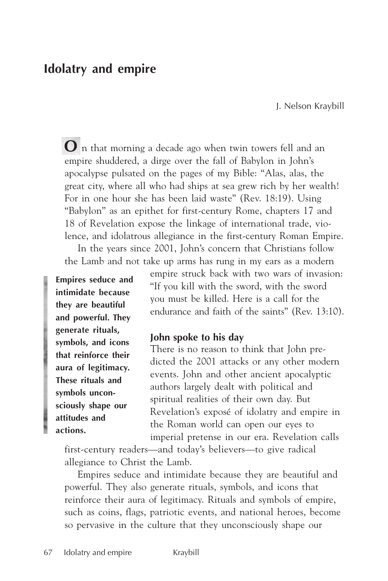# **Idolatry and empire**

J. Nelson Kraybill

**O** n that morning a decade ago when twin towers fell and an empire shuddered, a dirge over the fall of Babylon in John's apocalypse pulsated on the pages of my Bible: "Alas, alas, the great city, where all who had ships at sea grew rich by her wealth! For in one hour she has been laid waste" (Rev. 18:19). Using "Babylon" as an epithet for first-century Rome, chapters 17 and 18 of Revelation expose the linkage of international trade, violence, and idolatrous allegiance in the first-century Roman Empire.

In the years since 2001, John's concern that Christians follow the Lamb and not take up arms has rung in my ears as a modern

**Empires seduce and intimidate because they are beautiful and powerful. They generate rituals, symbols, and icons that reinforce their aura of legitimacy. These rituals and symbols unconsciously shape our attitudes and actions.**

empire struck back with two wars of invasion: "If you kill with the sword, with the sword you must be killed. Here is a call for the endurance and faith of the saints" (Rev. 13:10).

#### **John spoke to his day**

There is no reason to think that John predicted the 2001 attacks or any other modern events. John and other ancient apocalyptic authors largely dealt with political and spiritual realities of their own day. But Revelation's exposé of idolatry and empire in the Roman world can open our eyes to imperial pretense in our era. Revelation calls

first-century readers—and today's believers—to give radical allegiance to Christ the Lamb.

Empires seduce and intimidate because they are beautiful and powerful. They also generate rituals, symbols, and icons that reinforce their aura of legitimacy. Rituals and symbols of empire, such as coins, flags, patriotic events, and national heroes, become so pervasive in the culture that they unconsciously shape our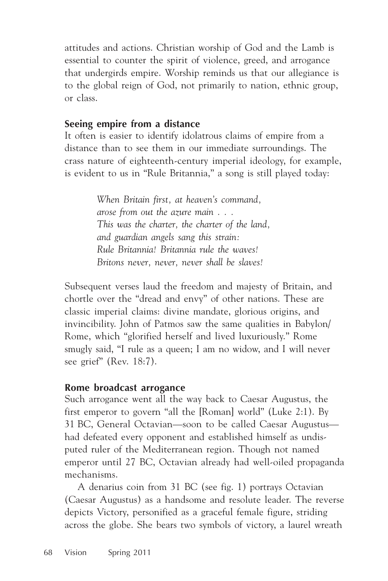attitudes and actions. Christian worship of God and the Lamb is essential to counter the spirit of violence, greed, and arrogance that undergirds empire. Worship reminds us that our allegiance is to the global reign of God, not primarily to nation, ethnic group, or class.

## **Seeing empire from a distance**

It often is easier to identify idolatrous claims of empire from a distance than to see them in our immediate surroundings. The crass nature of eighteenth-century imperial ideology, for example, is evident to us in "Rule Britannia," a song is still played today:

> *When Britain first, at heaven's command, arose from out the azure main . . . This was the charter, the charter of the land, and guardian angels sang this strain: Rule Britannia! Britannia rule the waves! Britons never, never, never shall be slaves!*

Subsequent verses laud the freedom and majesty of Britain, and chortle over the "dread and envy" of other nations. These are classic imperial claims: divine mandate, glorious origins, and invincibility. John of Patmos saw the same qualities in Babylon/ Rome, which "glorified herself and lived luxuriously." Rome smugly said, "I rule as a queen; I am no widow, and I will never see grief" (Rev. 18:7).

### **Rome broadcast arrogance**

Such arrogance went all the way back to Caesar Augustus, the first emperor to govern "all the [Roman] world" (Luke 2:1). By 31 BC, General Octavian—soon to be called Caesar Augustus had defeated every opponent and established himself as undisputed ruler of the Mediterranean region. Though not named emperor until 27 BC, Octavian already had well-oiled propaganda mechanisms.

A denarius coin from 31 BC (see fig. 1) portrays Octavian (Caesar Augustus) as a handsome and resolute leader. The reverse depicts Victory, personified as a graceful female figure, striding across the globe. She bears two symbols of victory, a laurel wreath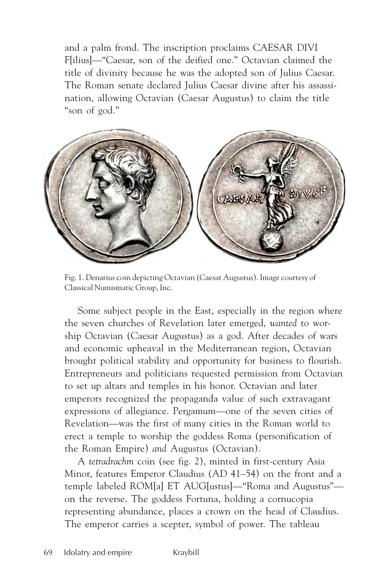and a palm frond. The inscription proclaims CAESAR DIVI F[ilius]—"Caesar, son of the deified one." Octavian claimed the title of divinity because he was the adopted son of Julius Caesar. The Roman senate declared Julius Caesar divine after his assassination, allowing Octavian (Caesar Augustus) to claim the title "son of god."



Fig. 1. Denarius coin depicting Octavian (Caesar Augustus). Image courtesy of Classical Numismatic Group, Inc.

Some subject people in the East, especially in the region where the seven churches of Revelation later emerged, *wanted* to worship Octavian (Caesar Augustus) as a god. After decades of wars and economic upheaval in the Mediterranean region, Octavian brought political stability and opportunity for business to flourish. Entrepreneurs and politicians requested permission from Octavian to set up altars and temples in his honor. Octavian and later emperors recognized the propaganda value of such extravagant expressions of allegiance. Pergamum—one of the seven cities of Revelation—was the first of many cities in the Roman world to erect a temple to worship the goddess Roma (personification of the Roman Empire) *and* Augustus (Octavian).

A *tetradrachm* coin (see fig. 2), minted in first-century Asia Minor, features Emperor Claudius (AD 41–54) on the front and a temple labeled ROM[a] ET AUG[ustus]—"Roma and Augustus" on the reverse. The goddess Fortuna, holding a cornucopia representing abundance, places a crown on the head of Claudius. The emperor carries a scepter, symbol of power. The tableau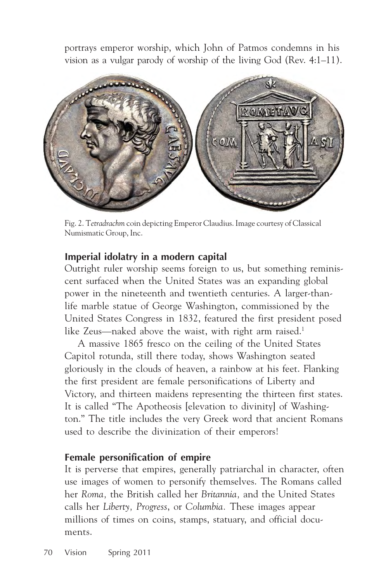portrays emperor worship, which John of Patmos condemns in his vision as a vulgar parody of worship of the living God (Rev. 4:1–11).



Fig. 2. T*etradrachm* coin depicting Emperor Claudius. Image courtesy of Classical Numismatic Group, Inc.

## **Imperial idolatry in a modern capital**

Outright ruler worship seems foreign to us, but something reminiscent surfaced when the United States was an expanding global power in the nineteenth and twentieth centuries. A larger-thanlife marble statue of George Washington, commissioned by the United States Congress in 1832, featured the first president posed like Zeus—naked above the waist, with right arm raised.<sup>1</sup>

A massive 1865 fresco on the ceiling of the United States Capitol rotunda, still there today, shows Washington seated gloriously in the clouds of heaven, a rainbow at his feet. Flanking the first president are female personifications of Liberty and Victory, and thirteen maidens representing the thirteen first states. It is called "The Apotheosis [elevation to divinity] of Washington." The title includes the very Greek word that ancient Romans used to describe the divinization of their emperors!

## **Female personification of empire**

It is perverse that empires, generally patriarchal in character, often use images of women to personify themselves. The Romans called her *Roma,* the British called her *Britannia,* and the United States calls her *Liberty, Progress*, or *Columbia.* These images appear millions of times on coins, stamps, statuary, and official documents.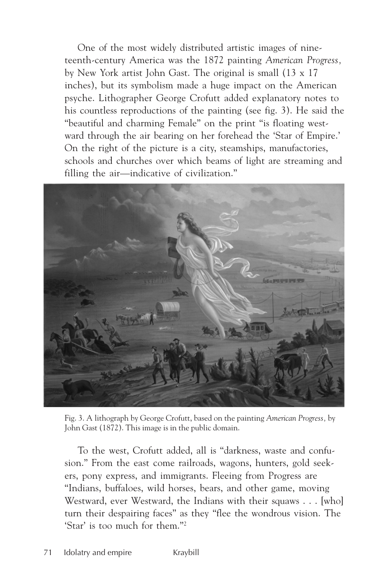One of the most widely distributed artistic images of nineteenth-century America was the 1872 painting *American Progress,* by New York artist John Gast. The original is small (13 x 17 inches), but its symbolism made a huge impact on the American psyche. Lithographer George Crofutt added explanatory notes to his countless reproductions of the painting (see fig. 3). He said the "beautiful and charming Female" on the print "is floating westward through the air bearing on her forehead the 'Star of Empire.' On the right of the picture is a city, steamships, manufactories, schools and churches over which beams of light are streaming and filling the air—indicative of civilization."



Fig. 3. A lithograph by George Crofutt, based on the painting *American Progress,* by John Gast (1872). This image is in the public domain.

To the west, Crofutt added, all is "darkness, waste and confusion." From the east come railroads, wagons, hunters, gold seekers, pony express, and immigrants. Fleeing from Progress are "Indians, buffaloes, wild horses, bears, and other game, moving Westward, ever Westward, the Indians with their squaws . . . [who] turn their despairing faces" as they "flee the wondrous vision. The 'Star' is too much for them."2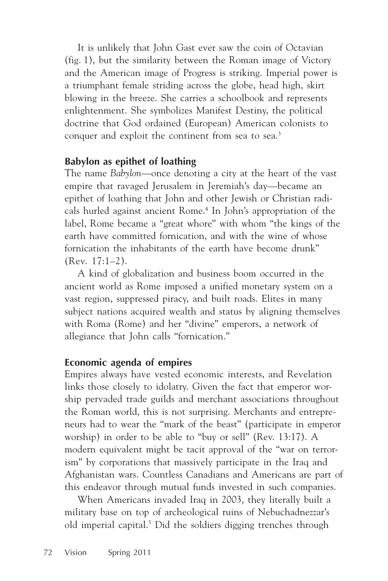It is unlikely that John Gast ever saw the coin of Octavian (fig. 1), but the similarity between the Roman image of Victory and the American image of Progress is striking. Imperial power is a triumphant female striding across the globe, head high, skirt blowing in the breeze. She carries a schoolbook and represents enlightenment. She symbolizes Manifest Destiny, the political doctrine that God ordained (European) American colonists to conquer and exploit the continent from sea to sea.<sup>3</sup>

## **Babylon as epithet of loathing**

The name *Babylon*—once denoting a city at the heart of the vast empire that ravaged Jerusalem in Jeremiah's day—became an epithet of loathing that John and other Jewish or Christian radicals hurled against ancient Rome.4 In John's appropriation of the label, Rome became a "great whore" with whom "the kings of the earth have committed fornication, and with the wine of whose fornication the inhabitants of the earth have become drunk" (Rev. 17:1–2).

A kind of globalization and business boom occurred in the ancient world as Rome imposed a unified monetary system on a vast region, suppressed piracy, and built roads. Elites in many subject nations acquired wealth and status by aligning themselves with Roma (Rome) and her "divine" emperors, a network of allegiance that John calls "fornication."

# **Economic agenda of empires**

Empires always have vested economic interests, and Revelation links those closely to idolatry. Given the fact that emperor worship pervaded trade guilds and merchant associations throughout the Roman world, this is not surprising. Merchants and entrepreneurs had to wear the "mark of the beast" (participate in emperor worship) in order to be able to "buy or sell" (Rev. 13:17). A modern equivalent might be tacit approval of the "war on terrorism" by corporations that massively participate in the Iraq and Afghanistan wars. Countless Canadians and Americans are part of this endeavor through mutual funds invested in such companies.

When Americans invaded Iraq in 2003, they literally built a military base on top of archeological ruins of Nebuchadnezzar's old imperial capital.5 Did the soldiers digging trenches through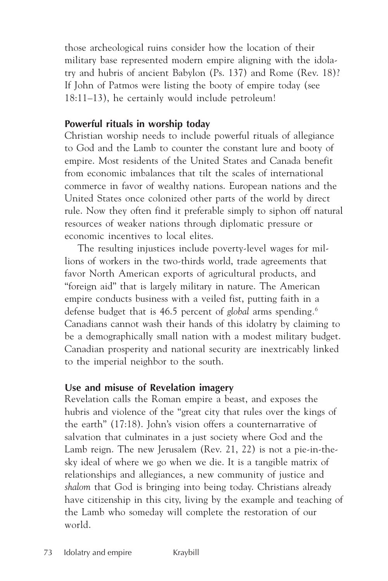those archeological ruins consider how the location of their military base represented modern empire aligning with the idolatry and hubris of ancient Babylon (Ps. 137) and Rome (Rev. 18)? If John of Patmos were listing the booty of empire today (see 18:11–13), he certainly would include petroleum!

## **Powerful rituals in worship today**

Christian worship needs to include powerful rituals of allegiance to God and the Lamb to counter the constant lure and booty of empire. Most residents of the United States and Canada benefit from economic imbalances that tilt the scales of international commerce in favor of wealthy nations. European nations and the United States once colonized other parts of the world by direct rule. Now they often find it preferable simply to siphon off natural resources of weaker nations through diplomatic pressure or economic incentives to local elites.

The resulting injustices include poverty-level wages for millions of workers in the two-thirds world, trade agreements that favor North American exports of agricultural products, and "foreign aid" that is largely military in nature. The American empire conducts business with a veiled fist, putting faith in a defense budget that is 46.5 percent of *global* arms spending*.*<sup>6</sup> Canadians cannot wash their hands of this idolatry by claiming to be a demographically small nation with a modest military budget. Canadian prosperity and national security are inextricably linked to the imperial neighbor to the south.

## **Use and misuse of Revelation imagery**

Revelation calls the Roman empire a beast, and exposes the hubris and violence of the "great city that rules over the kings of the earth" (17:18). John's vision offers a counternarrative of salvation that culminates in a just society where God and the Lamb reign. The new Jerusalem (Rev. 21, 22) is not a pie-in-thesky ideal of where we go when we die. It is a tangible matrix of relationships and allegiances, a new community of justice and *shalom* that God is bringing into being today. Christians already have citizenship in this city, living by the example and teaching of the Lamb who someday will complete the restoration of our world.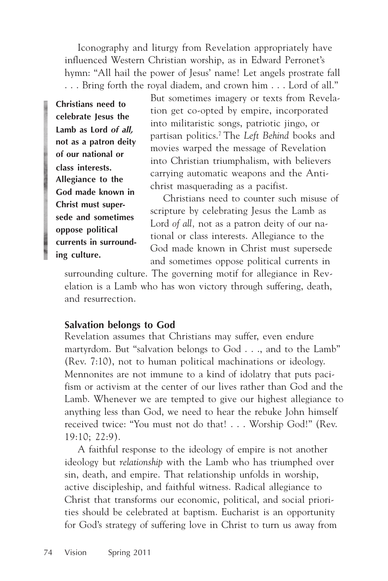Iconography and liturgy from Revelation appropriately have influenced Western Christian worship, as in Edward Perronet's hymn: "All hail the power of Jesus' name! Let angels prostrate fall . . . Bring forth the royal diadem, and crown him . . . Lord of all."

**Christians need to celebrate Jesus the Lamb as Lord** *of all,* **not as a patron deity of our national or class interests. Allegiance to the God made known in Christ must supersede and sometimes oppose political currents in surrounding culture.**

But sometimes imagery or texts from Revelation get co-opted by empire, incorporated into militaristic songs, patriotic jingo, or partisan politics.7 The *Left Behind* books and movies warped the message of Revelation into Christian triumphalism, with believers carrying automatic weapons and the Antichrist masquerading as a pacifist.

Christians need to counter such misuse of scripture by celebrating Jesus the Lamb as Lord *of all,* not as a patron deity of our national or class interests. Allegiance to the God made known in Christ must supersede and sometimes oppose political currents in

surrounding culture. The governing motif for allegiance in Revelation is a Lamb who has won victory through suffering, death, and resurrection.

## **Salvation belongs to God**

Revelation assumes that Christians may suffer, even endure martyrdom. But "salvation belongs to God . . ., and to the Lamb" (Rev. 7:10), not to human political machinations or ideology. Mennonites are not immune to a kind of idolatry that puts pacifism or activism at the center of our lives rather than God and the Lamb. Whenever we are tempted to give our highest allegiance to anything less than God, we need to hear the rebuke John himself received twice: "You must not do that! . . . Worship God!" (Rev. 19:10; 22:9).

A faithful response to the ideology of empire is not another ideology but *relationship* with the Lamb who has triumphed over sin, death, and empire. That relationship unfolds in worship, active discipleship, and faithful witness. Radical allegiance to Christ that transforms our economic, political, and social priorities should be celebrated at baptism. Eucharist is an opportunity for God's strategy of suffering love in Christ to turn us away from